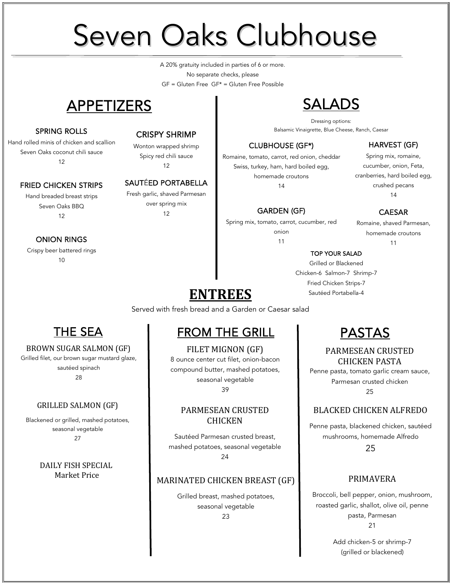# Seven Oaks Clubhouse

 $GF = Gluten Free GF* = Gluten Free Possible$ A 20% gratuity included in parties of 6 or more. No separate checks, please

# APPETIZERS

#### SPRING ROLLS

Hand rolled minis of chicken and scallion Seven Oaks coconut chili sauce 12

#### FRIED CHICKEN STRIPS

Hand breaded breast strips Seven Oaks BBQ 12

#### ONION RINGS

Crispy beer battered rings  $1<sub>0</sub>$ 

#### CRISPY SHRIMP

Wonton wrapped shrimp Spicy red chili sauce 12

#### SAUTÉED PORTABELLA

Fresh garlic, shaved Parmesan over spring mix 12

# SALADS

Dressing options: Balsamic Vinaigrette, Blue Cheese, Ranch, Caesar

#### CLUBHOUSE (GF\*)

Romaine, tomato, carrot, red onion, cheddar Swiss, turkey, ham, hard boiled egg, homemade croutons 14

#### GARDEN (GF)

Spring mix, tomato, carrot, cucumber, red onion 11

#### HARVEST (GF)

Spring mix, romaine, cucumber, onion, Feta, cranberries, hard boiled egg, crushed pecans 14

#### CAESAR

Romaine, shaved Parmesan, homemade croutons 11

#### TOP YOUR SALAD

Grilled or Blackened Chicken-6 Salmon-7 Shrimp-7 Fried Chicken Strips-7 Sautéed Portabella-4

**ENTREES** Served with fresh bread and a Garden or Caesar salad

## THE SEA

#### BROWN SUGAR SALMON (GF)

Grilled filet, our brown sugar mustard glaze,

sautéed spinach

28

#### GRILLED SALMON (GF)

Blackened or grilled, mashed potatoes, seasonal vegetable 27

> DAILY FISH SPECIAL Market Price

# FROM THE GRILL

FILET MIGNON (GF) 8 ounce center cut filet, onion-bacon compound butter, mashed potatoes, seasonal vegetable 39

#### PARMESEAN CRUSTED **CHICKEN**

Sautéed Parmesan crusted breast, mashed potatoes, seasonal vegetable 24

#### MARINATED CHICKEN BREAST (GF)

Grilled breast, mashed potatoes, seasonal vegetable 23

## PASTAS

### PARMESEAN CRUSTED CHICKEN PASTA

Penne pasta, tomato garlic cream sauce, Parmesan crusted chicken 25

### BLACKED CHICKEN ALFREDO

Penne pasta, blackened chicken, sautéed mushrooms, homemade Alfredo

25

#### PRIMAVERA

Broccoli, bell pepper, onion, mushroom, roasted garlic, shallot, olive oil, penne pasta, Parmesan 21

> Add chicken-5 or shrimp-7 (grilled or blackened)